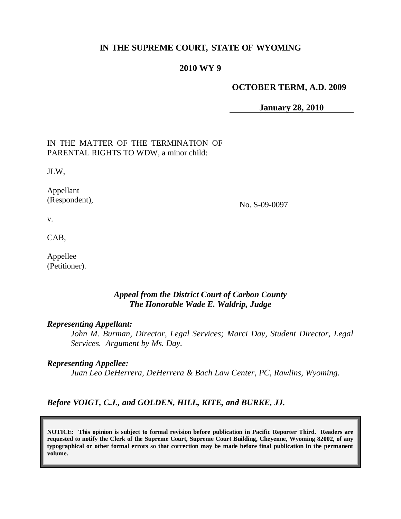### **IN THE SUPREME COURT, STATE OF WYOMING**

#### **2010 WY 9**

#### **OCTOBER TERM, A.D. 2009**

**January 28, 2010**

| IN THE MATTER OF THE TERMINATION OF<br>PARENTAL RIGHTS TO WDW, a minor child: |               |
|-------------------------------------------------------------------------------|---------------|
| JLW,                                                                          |               |
| Appellant<br>(Respondent),                                                    | No. S-09-0097 |
| V.                                                                            |               |
| CAB,                                                                          |               |
| Appellee                                                                      |               |

### *Appeal from the District Court of Carbon County The Honorable Wade E. Waldrip, Judge*

#### *Representing Appellant:*

(Petitioner).

*John M. Burman, Director, Legal Services; Marci Day, Student Director, Legal Services. Argument by Ms. Day.*

#### *Representing Appellee:*

*Juan Leo DeHerrera, DeHerrera & Bach Law Center, PC, Rawlins, Wyoming.*

## *Before VOIGT, C.J., and GOLDEN, HILL, KITE, and BURKE, JJ.*

**NOTICE: This opinion is subject to formal revision before publication in Pacific Reporter Third. Readers are requested to notify the Clerk of the Supreme Court, Supreme Court Building, Cheyenne, Wyoming 82002, of any typographical or other formal errors so that correction may be made before final publication in the permanent volume.**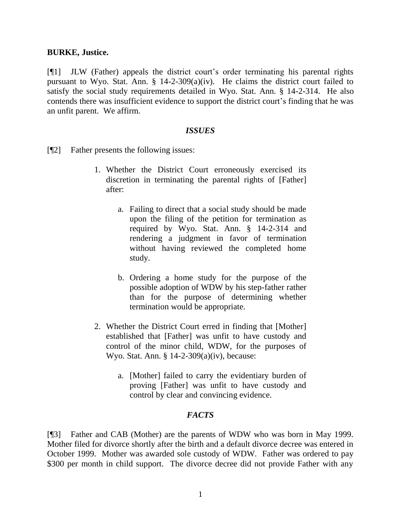#### **BURKE, Justice.**

[¶1] JLW (Father) appeals the district court's order terminating his parental rights pursuant to Wyo. Stat. Ann. § 14-2-309(a)(iv). He claims the district court failed to satisfy the social study requirements detailed in Wyo. Stat. Ann. § 14-2-314. He also contends there was insufficient evidence to support the district court's finding that he was an unfit parent. We affirm.

#### *ISSUES*

- [¶2] Father presents the following issues:
	- 1. Whether the District Court erroneously exercised its discretion in terminating the parental rights of [Father] after:
		- a. Failing to direct that a social study should be made upon the filing of the petition for termination as required by Wyo. Stat. Ann. § 14-2-314 and rendering a judgment in favor of termination without having reviewed the completed home study.
		- b. Ordering a home study for the purpose of the possible adoption of WDW by his step-father rather than for the purpose of determining whether termination would be appropriate.
	- 2. Whether the District Court erred in finding that [Mother] established that [Father] was unfit to have custody and control of the minor child, WDW, for the purposes of Wyo. Stat. Ann. § 14-2-309(a)(iv), because:
		- a. [Mother] failed to carry the evidentiary burden of proving [Father] was unfit to have custody and control by clear and convincing evidence.

## *FACTS*

[¶3] Father and CAB (Mother) are the parents of WDW who was born in May 1999. Mother filed for divorce shortly after the birth and a default divorce decree was entered in October 1999. Mother was awarded sole custody of WDW. Father was ordered to pay \$300 per month in child support. The divorce decree did not provide Father with any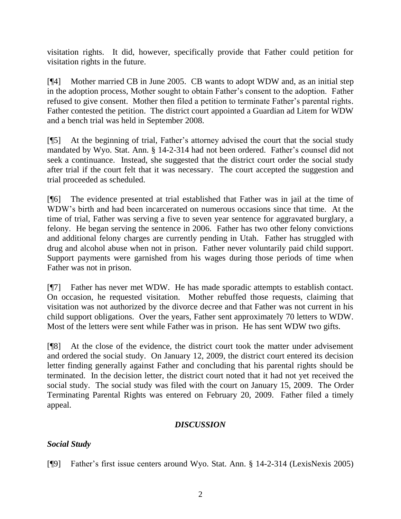visitation rights. It did, however, specifically provide that Father could petition for visitation rights in the future.

[¶4] Mother married CB in June 2005. CB wants to adopt WDW and, as an initial step in the adoption process, Mother sought to obtain Father's consent to the adoption. Father refused to give consent. Mother then filed a petition to terminate Father's parental rights. Father contested the petition. The district court appointed a Guardian ad Litem for WDW and a bench trial was held in September 2008.

[¶5] At the beginning of trial, Father's attorney advised the court that the social study mandated by Wyo. Stat. Ann. § 14-2-314 had not been ordered. Father's counsel did not seek a continuance. Instead, she suggested that the district court order the social study after trial if the court felt that it was necessary. The court accepted the suggestion and trial proceeded as scheduled.

[¶6] The evidence presented at trial established that Father was in jail at the time of WDW's birth and had been incarcerated on numerous occasions since that time. At the time of trial, Father was serving a five to seven year sentence for aggravated burglary, a felony. He began serving the sentence in 2006. Father has two other felony convictions and additional felony charges are currently pending in Utah. Father has struggled with drug and alcohol abuse when not in prison. Father never voluntarily paid child support. Support payments were garnished from his wages during those periods of time when Father was not in prison.

[¶7] Father has never met WDW. He has made sporadic attempts to establish contact. On occasion, he requested visitation. Mother rebuffed those requests, claiming that visitation was not authorized by the divorce decree and that Father was not current in his child support obligations. Over the years, Father sent approximately 70 letters to WDW. Most of the letters were sent while Father was in prison. He has sent WDW two gifts.

[¶8] At the close of the evidence, the district court took the matter under advisement and ordered the social study. On January 12, 2009, the district court entered its decision letter finding generally against Father and concluding that his parental rights should be terminated. In the decision letter, the district court noted that it had not yet received the social study. The social study was filed with the court on January 15, 2009. The Order Terminating Parental Rights was entered on February 20, 2009. Father filed a timely appeal.

## *DISCUSSION*

# *Social Study*

[¶9] Father's first issue centers around Wyo. Stat. Ann. § 14-2-314 (LexisNexis 2005)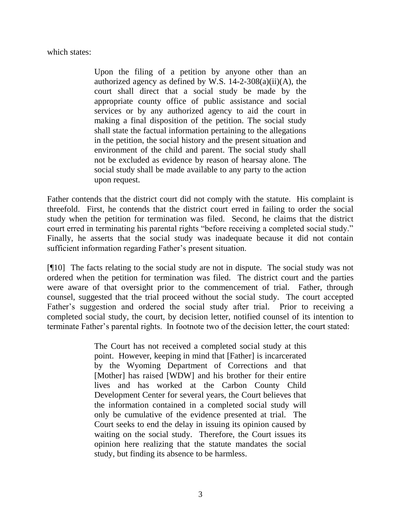which states:

Upon the filing of a petition by anyone other than an authorized agency as defined by W.S.  $14-2-308(a)(ii)(A)$ , the court shall direct that a social study be made by the appropriate county office of public assistance and social services or by any authorized agency to aid the court in making a final disposition of the petition. The social study shall state the factual information pertaining to the allegations in the petition, the social history and the present situation and environment of the child and parent. The social study shall not be excluded as evidence by reason of hearsay alone. The social study shall be made available to any party to the action upon request.

Father contends that the district court did not comply with the statute. His complaint is threefold. First, he contends that the district court erred in failing to order the social study when the petition for termination was filed. Second, he claims that the district court erred in terminating his parental rights "before receiving a completed social study." Finally, he asserts that the social study was inadequate because it did not contain sufficient information regarding Father's present situation.

[¶10] The facts relating to the social study are not in dispute. The social study was not ordered when the petition for termination was filed. The district court and the parties were aware of that oversight prior to the commencement of trial. Father, through counsel, suggested that the trial proceed without the social study. The court accepted Father's suggestion and ordered the social study after trial. Prior to receiving a completed social study, the court, by decision letter, notified counsel of its intention to terminate Father's parental rights. In footnote two of the decision letter, the court stated:

> The Court has not received a completed social study at this point. However, keeping in mind that [Father] is incarcerated by the Wyoming Department of Corrections and that [Mother] has raised [WDW] and his brother for their entire lives and has worked at the Carbon County Child Development Center for several years, the Court believes that the information contained in a completed social study will only be cumulative of the evidence presented at trial. The Court seeks to end the delay in issuing its opinion caused by waiting on the social study. Therefore, the Court issues its opinion here realizing that the statute mandates the social study, but finding its absence to be harmless.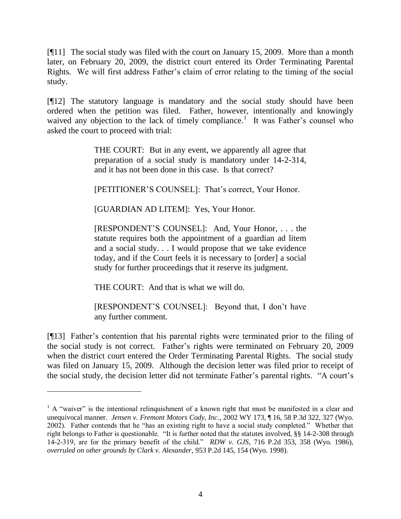[¶11] The social study was filed with the court on January 15, 2009. More than a month later, on February 20, 2009, the district court entered its Order Terminating Parental Rights. We will first address Father's claim of error relating to the timing of the social study.

[¶12] The statutory language is mandatory and the social study should have been ordered when the petition was filed. Father, however, intentionally and knowingly waived any objection to the lack of timely compliance.<sup>1</sup> It was Father's counsel who asked the court to proceed with trial:

> THE COURT: But in any event, we apparently all agree that preparation of a social study is mandatory under 14-2-314, and it has not been done in this case. Is that correct?

[PETITIONER'S COUNSEL]: That's correct, Your Honor.

[GUARDIAN AD LITEM]: Yes, Your Honor.

[RESPONDENT'S COUNSEL]: And, Your Honor, . . . the statute requires both the appointment of a guardian ad litem and a social study. . . I would propose that we take evidence today, and if the Court feels it is necessary to [order] a social study for further proceedings that it reserve its judgment.

THE COURT: And that is what we will do.

 $\overline{a}$ 

[RESPONDENT'S COUNSEL]: Beyond that, I don't have any further comment.

[¶13] Father's contention that his parental rights were terminated prior to the filing of the social study is not correct. Father's rights were terminated on February 20, 2009 when the district court entered the Order Terminating Parental Rights. The social study was filed on January 15, 2009. Although the decision letter was filed prior to receipt of the social study, the decision letter did not terminate Father's parental rights. "A court's

<sup>&</sup>lt;sup>1</sup> A "waiver" is the intentional relinquishment of a known right that must be manifested in a clear and unequivocal manner. *Jensen v. Fremont Motors Cody, Inc.*, 2002 WY 173, ¶ 16, 58 P.3d 322, 327 (Wyo. 2002). Father contends that he "has an existing right to have a social study completed." Whether that right belongs to Father is questionable. "It is further noted that the statutes involved, §§ 14-2-308 through 14-2-319, are for the primary benefit of the child." *RDW v. GJS*, 716 P.2d 353, 358 (Wyo. 1986), *overruled on other grounds by Clark v. Alexander*, 953 P.2d 145, 154 (Wyo. 1998).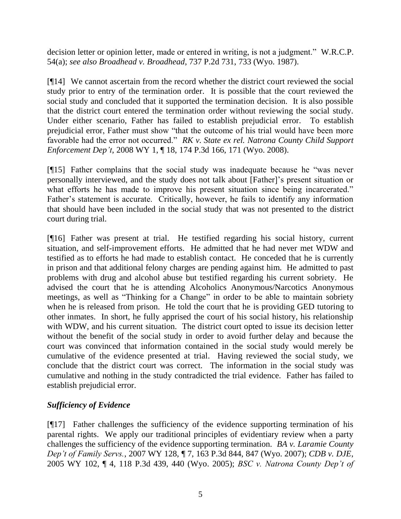decision letter or opinion letter, made or entered in writing, is not a judgment." W.R.C.P. 54(a); *see also Broadhead v. Broadhead*, 737 P.2d 731, 733 (Wyo. 1987).

[¶14] We cannot ascertain from the record whether the district court reviewed the social study prior to entry of the termination order. It is possible that the court reviewed the social study and concluded that it supported the termination decision. It is also possible that the district court entered the termination order without reviewing the social study. Under either scenario, Father has failed to establish prejudicial error. To establish prejudicial error, Father must show "that the outcome of his trial would have been more favorable had the error not occurred." *RK v. State ex rel. Natrona County Child Support Enforcement Dep't*, 2008 WY 1, ¶ 18, 174 P.3d 166, 171 (Wyo. 2008).

[¶15] Father complains that the social study was inadequate because he "was never personally interviewed, and the study does not talk about [Father]'s present situation or what efforts he has made to improve his present situation since being incarcerated." Father's statement is accurate. Critically, however, he fails to identify any information that should have been included in the social study that was not presented to the district court during trial.

[¶16] Father was present at trial. He testified regarding his social history, current situation, and self-improvement efforts. He admitted that he had never met WDW and testified as to efforts he had made to establish contact. He conceded that he is currently in prison and that additional felony charges are pending against him. He admitted to past problems with drug and alcohol abuse but testified regarding his current sobriety. He advised the court that he is attending Alcoholics Anonymous/Narcotics Anonymous meetings, as well as "Thinking for a Change" in order to be able to maintain sobriety when he is released from prison. He told the court that he is providing GED tutoring to other inmates. In short, he fully apprised the court of his social history, his relationship with WDW, and his current situation. The district court opted to issue its decision letter without the benefit of the social study in order to avoid further delay and because the court was convinced that information contained in the social study would merely be cumulative of the evidence presented at trial. Having reviewed the social study, we conclude that the district court was correct. The information in the social study was cumulative and nothing in the study contradicted the trial evidence. Father has failed to establish prejudicial error.

## *Sufficiency of Evidence*

[¶17] Father challenges the sufficiency of the evidence supporting termination of his parental rights. We apply our traditional principles of evidentiary review when a party challenges the sufficiency of the evidence supporting termination. *BA v. Laramie County Dep't of Family Servs.*, 2007 WY 128, ¶ 7, 163 P.3d 844, 847 (Wyo. 2007); *CDB v. DJE*, 2005 WY 102, ¶ 4, 118 P.3d 439, 440 (Wyo. 2005); *BSC v. Natrona County Dep't of*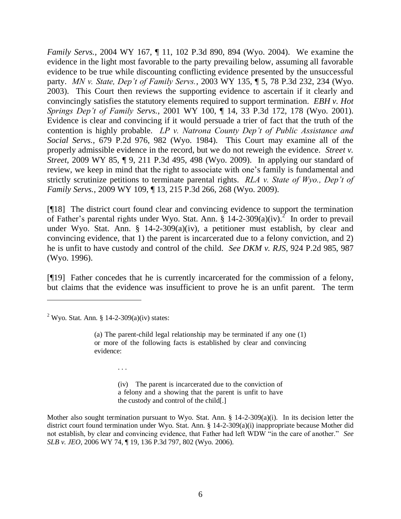*Family Servs.*, 2004 WY 167, ¶ 11, 102 P.3d 890, 894 (Wyo. 2004). We examine the evidence in the light most favorable to the party prevailing below, assuming all favorable evidence to be true while discounting conflicting evidence presented by the unsuccessful party. *MN v. State, Dep't of Family Servs.*, 2003 WY 135, ¶ 5, 78 P.3d 232, 234 (Wyo. 2003). This Court then reviews the supporting evidence to ascertain if it clearly and convincingly satisfies the statutory elements required to support termination. *EBH v. Hot Springs Dep't of Family Servs.*, 2001 WY 100, ¶ 14, 33 P.3d 172, 178 (Wyo. 2001). Evidence is clear and convincing if it would persuade a trier of fact that the truth of the contention is highly probable. *LP v. Natrona County Dep't of Public Assistance and Social Servs.*, 679 P.2d 976, 982 (Wyo. 1984). This Court may examine all of the properly admissible evidence in the record, but we do not reweigh the evidence. *Street v. Street*, 2009 WY 85, ¶ 9, 211 P.3d 495, 498 (Wyo. 2009). In applying our standard of review, we keep in mind that the right to associate with one's family is fundamental and strictly scrutinize petitions to terminate parental rights. *RLA v. State of Wyo., Dep't of Family Servs.*, 2009 WY 109, ¶ 13, 215 P.3d 266, 268 (Wyo. 2009).

[¶18] The district court found clear and convincing evidence to support the termination of Father's parental rights under Wyo. Stat. Ann.  $\frac{1}{8}$  14-2-309(a)(iv).<sup>2</sup> In order to prevail under Wyo. Stat. Ann. § 14-2-309(a)(iv), a petitioner must establish, by clear and convincing evidence, that 1) the parent is incarcerated due to a felony conviction, and 2) he is unfit to have custody and control of the child. *See DKM v. RJS*, 924 P.2d 985, 987 (Wyo. 1996).

[¶19] Father concedes that he is currently incarcerated for the commission of a felony, but claims that the evidence was insufficient to prove he is an unfit parent. The term

l

. . .

(iv) The parent is incarcerated due to the conviction of a felony and a showing that the parent is unfit to have the custody and control of the child[.]

Mother also sought termination pursuant to Wyo. Stat. Ann.  $\S$  14-2-309(a)(i). In its decision letter the district court found termination under Wyo. Stat. Ann. § 14-2-309(a)(i) inappropriate because Mother did not establish, by clear and convincing evidence, that Father had left WDW "in the care of another." *See SLB v. JEO*, 2006 WY 74, ¶ 19, 136 P.3d 797, 802 (Wyo. 2006).

<sup>&</sup>lt;sup>2</sup> Wyo. Stat. Ann. § 14-2-309(a)(iv) states:

<sup>(</sup>a) The parent-child legal relationship may be terminated if any one (1) or more of the following facts is established by clear and convincing evidence: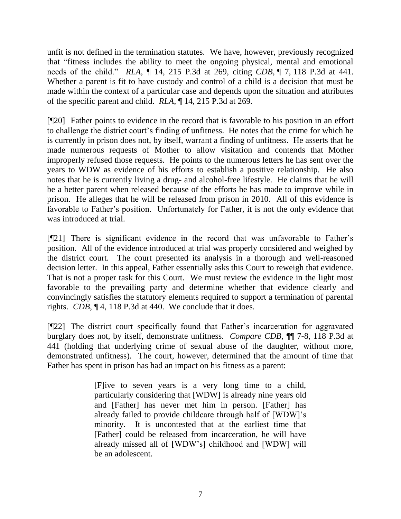unfit is not defined in the termination statutes. We have, however, previously recognized that "fitness includes the ability to meet the ongoing physical, mental and emotional needs of the child." *RLA*, ¶ 14, 215 P.3d at 269, citing *CDB*, ¶ 7, 118 P.3d at 441. Whether a parent is fit to have custody and control of a child is a decision that must be made within the context of a particular case and depends upon the situation and attributes of the specific parent and child. *RLA*, ¶ 14, 215 P.3d at 269.

[¶20] Father points to evidence in the record that is favorable to his position in an effort to challenge the district court's finding of unfitness. He notes that the crime for which he is currently in prison does not, by itself, warrant a finding of unfitness. He asserts that he made numerous requests of Mother to allow visitation and contends that Mother improperly refused those requests. He points to the numerous letters he has sent over the years to WDW as evidence of his efforts to establish a positive relationship. He also notes that he is currently living a drug- and alcohol-free lifestyle. He claims that he will be a better parent when released because of the efforts he has made to improve while in prison. He alleges that he will be released from prison in 2010. All of this evidence is favorable to Father's position. Unfortunately for Father, it is not the only evidence that was introduced at trial.

[¶21] There is significant evidence in the record that was unfavorable to Father's position. All of the evidence introduced at trial was properly considered and weighed by the district court. The court presented its analysis in a thorough and well-reasoned decision letter. In this appeal, Father essentially asks this Court to reweigh that evidence. That is not a proper task for this Court. We must review the evidence in the light most favorable to the prevailing party and determine whether that evidence clearly and convincingly satisfies the statutory elements required to support a termination of parental rights. *CDB*, ¶ 4, 118 P.3d at 440. We conclude that it does.

[¶22] The district court specifically found that Father's incarceration for aggravated burglary does not, by itself, demonstrate unfitness. *Compare CDB*, ¶¶ 7-8, 118 P.3d at 441 (holding that underlying crime of sexual abuse of the daughter, without more, demonstrated unfitness). The court, however, determined that the amount of time that Father has spent in prison has had an impact on his fitness as a parent:

> [F]ive to seven years is a very long time to a child, particularly considering that [WDW] is already nine years old and [Father] has never met him in person. [Father] has already failed to provide childcare through half of [WDW]'s minority. It is uncontested that at the earliest time that [Father] could be released from incarceration, he will have already missed all of [WDW's] childhood and [WDW] will be an adolescent.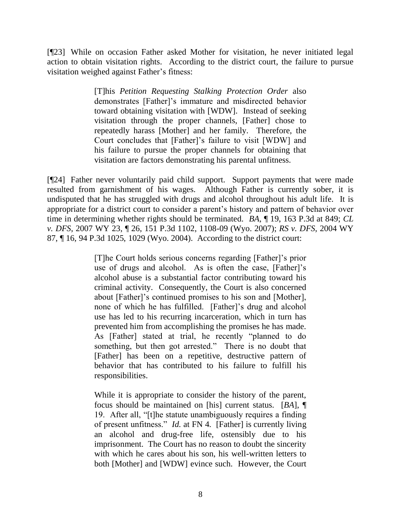[¶23] While on occasion Father asked Mother for visitation, he never initiated legal action to obtain visitation rights. According to the district court, the failure to pursue visitation weighed against Father's fitness:

> [T]his *Petition Requesting Stalking Protection Order* also demonstrates [Father]'s immature and misdirected behavior toward obtaining visitation with [WDW]. Instead of seeking visitation through the proper channels, [Father] chose to repeatedly harass [Mother] and her family. Therefore, the Court concludes that [Father]'s failure to visit [WDW] and his failure to pursue the proper channels for obtaining that visitation are factors demonstrating his parental unfitness.

[¶24] Father never voluntarily paid child support. Support payments that were made resulted from garnishment of his wages. Although Father is currently sober, it is undisputed that he has struggled with drugs and alcohol throughout his adult life. It is appropriate for a district court to consider a parent's history and pattern of behavior over time in determining whether rights should be terminated. *BA*, ¶ 19, 163 P.3d at 849; *CL v. DFS*, 2007 WY 23, ¶ 26, 151 P.3d 1102, 1108-09 (Wyo. 2007); *RS v. DFS*, 2004 WY 87, ¶ 16, 94 P.3d 1025, 1029 (Wyo. 2004). According to the district court:

> [T]he Court holds serious concerns regarding [Father]'s prior use of drugs and alcohol. As is often the case, [Father]'s alcohol abuse is a substantial factor contributing toward his criminal activity. Consequently, the Court is also concerned about [Father]'s continued promises to his son and [Mother], none of which he has fulfilled. [Father]'s drug and alcohol use has led to his recurring incarceration, which in turn has prevented him from accomplishing the promises he has made. As [Father] stated at trial, he recently "planned to do something, but then got arrested." There is no doubt that [Father] has been on a repetitive, destructive pattern of behavior that has contributed to his failure to fulfill his responsibilities.

> While it is appropriate to consider the history of the parent, focus should be maintained on [his] current status. [*BA*], ¶ 19. After all, "[t]he statute unambiguously requires a finding of present unfitness." *Id.* at FN 4. [Father] is currently living an alcohol and drug-free life, ostensibly due to his imprisonment. The Court has no reason to doubt the sincerity with which he cares about his son, his well-written letters to both [Mother] and [WDW] evince such. However, the Court